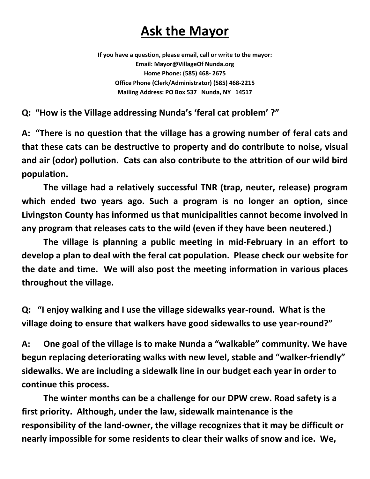## **Ask the Mayor**

**If you have a question, please email, call or write to the mayor: Email: Mayor@VillageOf Nunda.org Home Phone: (585) 468- 2675 Office Phone (Clerk/Administrator) (585) 468-2215 Mailing Address: PO Box 537 Nunda, NY 14517** 

**Q: "How is the Village addressing Nunda's 'feral cat problem' ?"** 

**A: "There is no question that the village has a growing number of feral cats and that these cats can be destructive to property and do contribute to noise, visual and air (odor) pollution. Cats can also contribute to the attrition of our wild bird population.** 

**The village had a relatively successful TNR (trap, neuter, release) program which ended two years ago. Such a program is no longer an option, since Livingston County has informed us that municipalities cannot become involved in any program that releases cats to the wild (even if they have been neutered.)** 

**The village is planning a public meeting in mid-February in an effort to develop a plan to deal with the feral cat population. Please check our website for the date and time. We will also post the meeting information in various places throughout the village.** 

**Q: "I enjoy walking and I use the village sidewalks year-round. What is the village doing to ensure that walkers have good sidewalks to use year-round?"** 

**A: One goal of the village is to make Nunda a "walkable" community. We have begun replacing deteriorating walks with new level, stable and "walker-friendly" sidewalks. We are including a sidewalk line in our budget each year in order to continue this process.** 

 **The winter months can be a challenge for our DPW crew. Road safety is a first priority. Although, under the law, sidewalk maintenance is the responsibility of the land-owner, the village recognizes that it may be difficult or nearly impossible for some residents to clear their walks of snow and ice. We,**